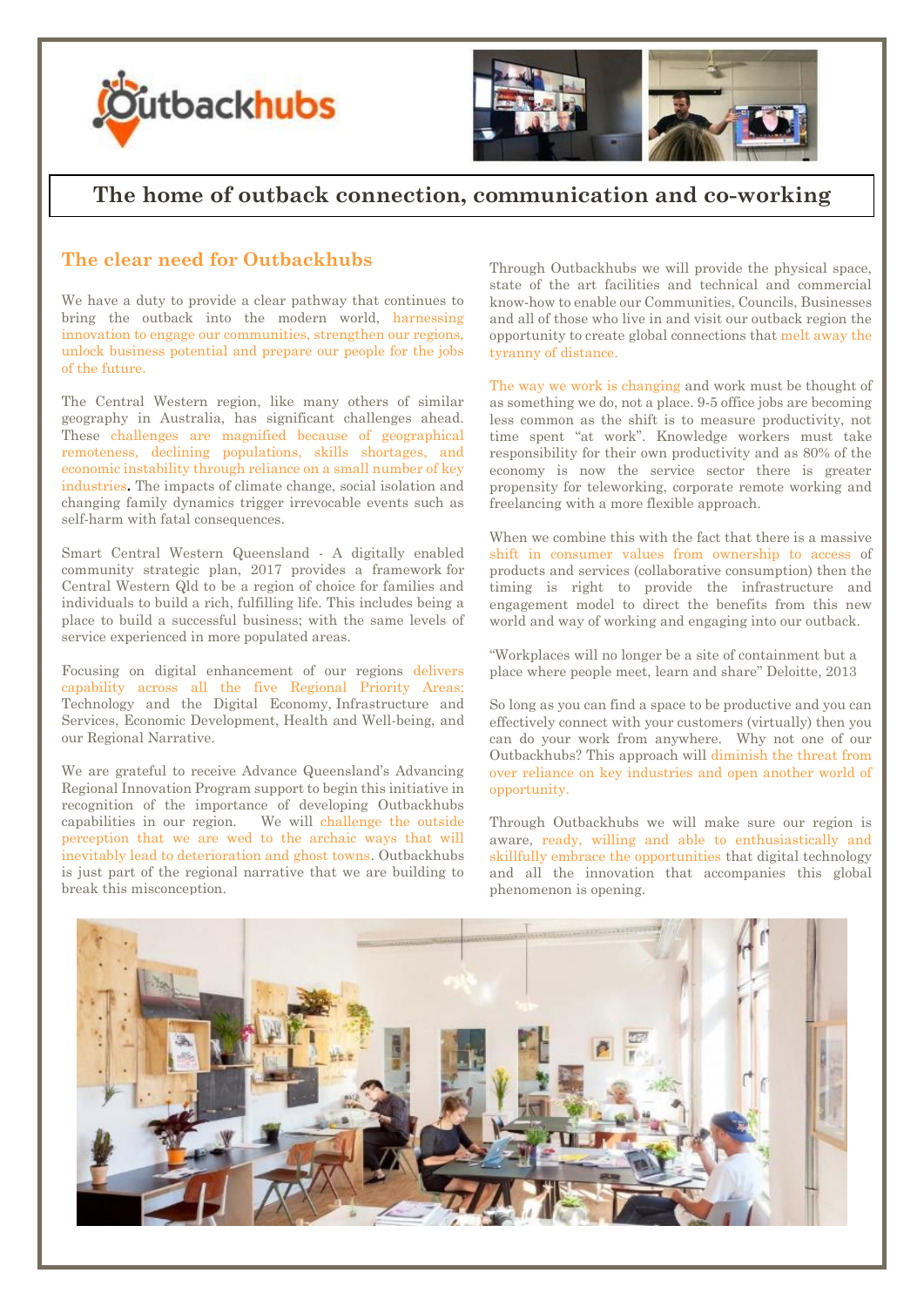



## **The home of outback connection, communication and co-working**

## **The clear need for Outbackhubs**

We have a duty to provide a clear pathway that continues to bring the outback into the modern world, harnessing innovation to engage our communities, strengthen our regions, unlock business potential and prepare our people for the jobs of the future.

The Central Western region, like many others of similar geography in Australia, has significant challenges ahead. These challenges are magnified because of geographical remoteness, declining populations, skills shortages, and economic instability through reliance on a small number of key industries**.** The impacts of climate change, social isolation and changing family dynamics trigger irrevocable events such as self-harm with fatal consequences.

Smart Central Western Queensland - A digitally enabled community strategic plan, 2017 provides a framework for Central Western Qld to be a region of choice for families and individuals to build a rich, fulfilling life. This includes being a place to build a successful business; with the same levels of service experienced in more populated areas.

Focusing on digital enhancement of our regions delivers capability across all the five Regional Priority Areas; Technology and the Digital Economy, Infrastructure and Services, Economic Development, Health and Well-being, and our Regional Narrative.

We are grateful to receive Advance Queensland's Advancing Regional Innovation Program support to begin this initiative in recognition of the importance of developing Outbackhubs capabilities in our region. We will challenge the outside perception that we are wed to the archaic ways that will inevitably lead to deterioration and ghost towns. Outbackhubs is just part of the regional narrative that we are building to break this misconception.

Through Outbackhubs we will provide the physical space, state of the art facilities and technical and commercial know-how to enable our Communities, Councils, Businesses and all of those who live in and visit our outback region the opportunity to create global connections that melt away the tyranny of distance.

The way we work is changing and work must be thought of as something we do, not a place. 9-5 office jobs are becoming less common as the shift is to measure productivity, not time spent "at work". Knowledge workers must take responsibility for their own productivity and as 80% of the economy is now the service sector there is greater propensity for teleworking, corporate remote working and freelancing with a more flexible approach.

When we combine this with the fact that there is a massive shift in consumer values from ownership to access of products and services (collaborative consumption) then the timing is right to provide the infrastructure and engagement model to direct the benefits from this new world and way of working and engaging into our outback.

"Workplaces will no longer be a site of containment but a place where people meet, learn and share" Deloitte, 2013

So long as you can find a space to be productive and you can effectively connect with your customers (virtually) then you can do your work from anywhere. Why not one of our Outbackhubs? This approach will diminish the threat from over reliance on key industries and open another world of opportunity.

Through Outbackhubs we will make sure our region is aware, ready, willing and able to enthusiastically and skillfully embrace the opportunities that digital technology and all the innovation that accompanies this global phenomenon is opening.

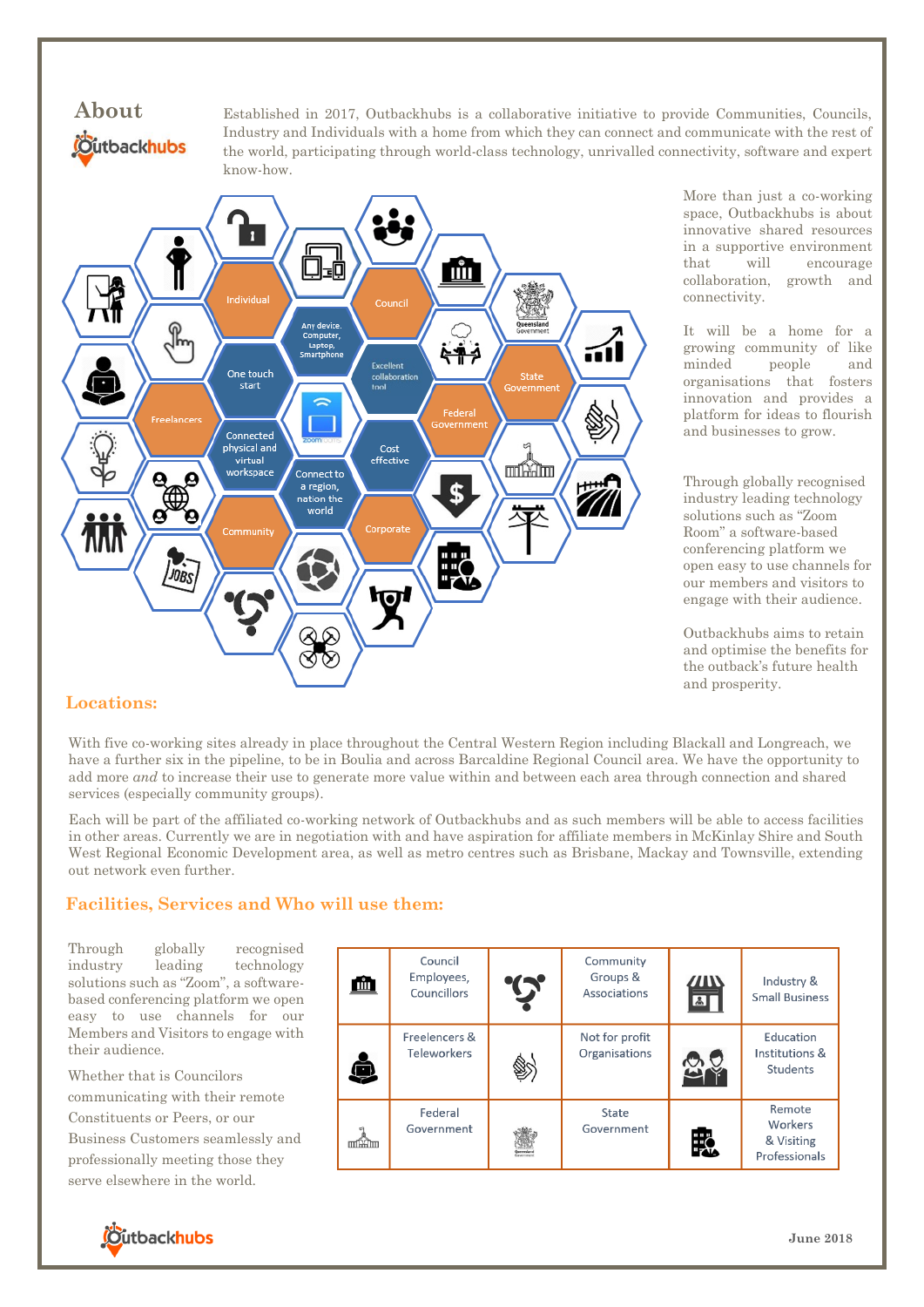

Established in 2017, Outbackhubs is a collaborative initiative to provide Communities, Councils, Industry and Individuals with a home from which they can connect and communicate with the rest of the world, participating through world-class technology, unrivalled connectivity, software and expert know-how.



More than just a co-working space, Outbackhubs is about innovative shared resources in a supportive environment that will encourage collaboration, growth and connectivity.

It will be a home for a growing community of like minded people and organisations that fosters innovation and provides a platform for ideas to flourish and businesses to grow.

Through globally recognised industry leading technology solutions such as "Zoom Room" a software-based conferencing platform we open easy to use channels for our members and visitors to engage with their audience.

Outbackhubs aims to retain and optimise the benefits for the outback's future health and prosperity.

## **Locations:**

With five co-working sites already in place throughout the Central Western Region including Blackall and Longreach, we have a further six in the pipeline, to be in Boulia and across Barcaldine Regional Council area. We have the opportunity to add more *and* to increase their use to generate more value within and between each area through connection and shared services (especially community groups).

Each will be part of the affiliated co-working network of Outbackhubs and as such members will be able to access facilities in other areas. Currently we are in negotiation with and have aspiration for affiliate members in McKinlay Shire and South West Regional Economic Development area, as well as metro centres such as Brisbane, Mackay and Townsville, extending out network even further.

## **Facilities, Services and Who will use them:**

Through globally recognised industry leading technology solutions such as "Zoom", a softwarebased conferencing platform we open easy to use channels for our Members and Visitors to engage with their audience.

Whether that is Councilors communicating with their remote Constituents or Peers, or our Business Customers seamlessly and professionally meeting those they serve elsewhere in the world.

| Щ    | Council<br>Employees,<br>Councillors | $\mathbf{T}$ | Community<br>Groups &<br>Associations | $\mu$<br>$\Delta$ | Industry &<br><b>Small Business</b>              |
|------|--------------------------------------|--------------|---------------------------------------|-------------------|--------------------------------------------------|
|      | Freelencers &<br><b>Teleworkers</b>  |              | Not for profit<br>Organisations       | へいて               | Education<br>Institutions &<br>Students          |
| mnxm | Federal<br>Government                |              | State<br>Government                   | י",               | Remote<br>Workers<br>& Visiting<br>Professionals |

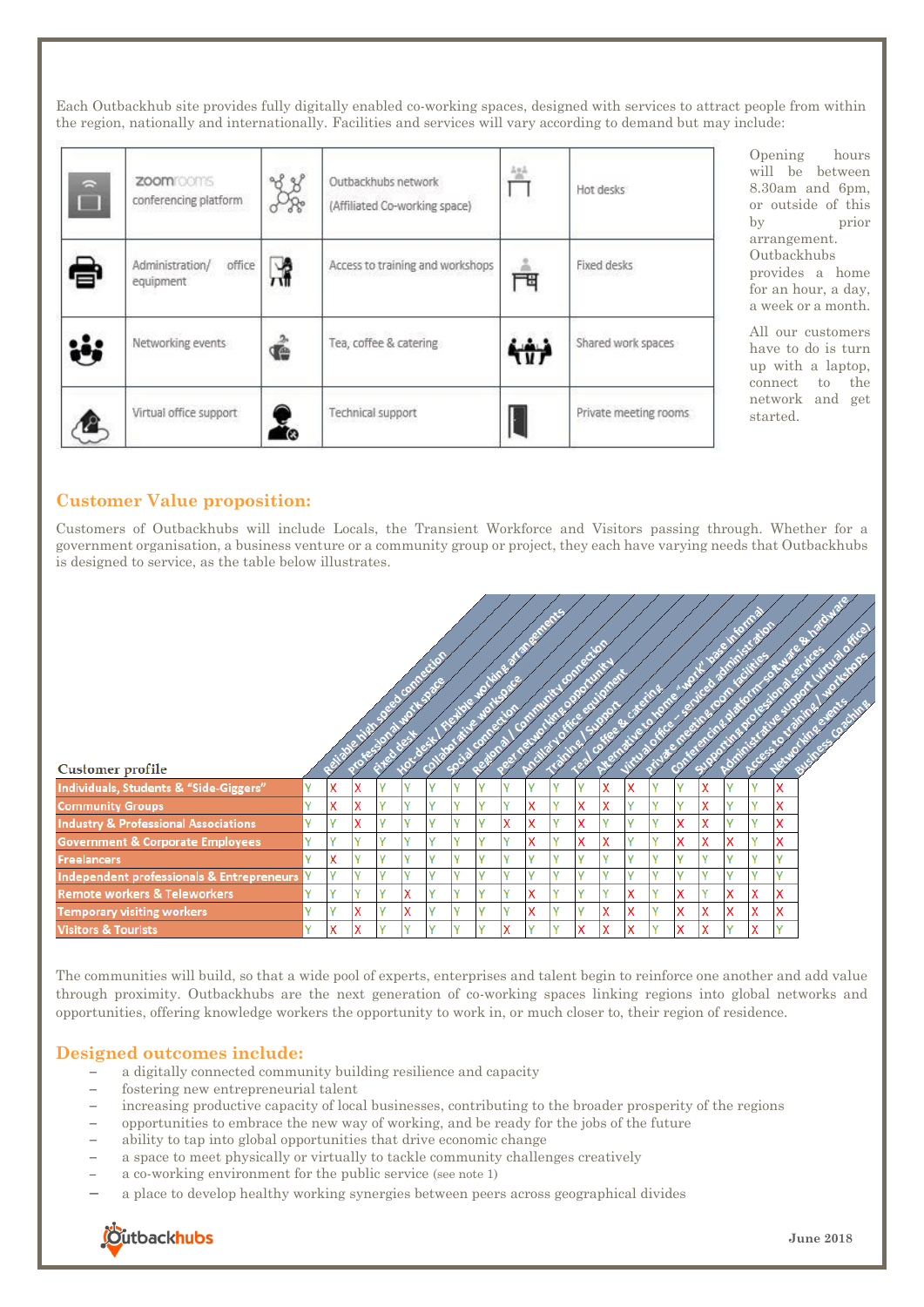Each Outbackhub site provides fully digitally enabled co-working spaces, designed with services to attract people from within the region, nationally and internationally. Facilities and services will vary according to demand but may include:

| $\Rightarrow$ | zoomrooms<br>conferencing platform     |   | Outbackhubs network<br>(Affiliated Co-working space) | $\frac{1}{2}$ | Hot desks             |
|---------------|----------------------------------------|---|------------------------------------------------------|---------------|-----------------------|
| e             | Administration/<br>office<br>equipment | 싾 | Access to training and workshops                     | 襾             | Fixed desks           |
| Š             | Networking events                      | ć | Tea, coffee & catering                               |               | Shared work spaces    |
|               | Virtual office support                 | Ω | Technical support                                    |               | Private meeting rooms |

Opening hours will be between 8.30am and 6pm, or outside of this by prior arrangement. Outbackhubs provides a home for an hour, a day, a week or a month.

All our customers have to do is turn up with a laptop, connect to the network and get started.

## **Customer Value proposition:**

Customers of Outbackhubs will include Locals, the Transient Workforce and Visitors passing through. Whether for a government organisation, a business venture or a community group or project, they each have varying needs that Outbackhubs is designed to service, as the table below illustrates.

| Customer profile                                |              |   |   |              |              |              |              |              |   |              |              |              |              |              |              |              |              |   |              |                          |  |
|-------------------------------------------------|--------------|---|---|--------------|--------------|--------------|--------------|--------------|---|--------------|--------------|--------------|--------------|--------------|--------------|--------------|--------------|---|--------------|--------------------------|--|
| Individuals, Students & "Side-Giggers"          | v            | X | X |              | $\mathbf{v}$ | v            | $\mathbf{v}$ | Ü            |   | $\mathbf{v}$ |              |              | X            | X            |              | $\mathbf{v}$ | x            | v | $\mathbf{v}$ | v<br>⋏                   |  |
| <b>Community Groups</b>                         | v            | X | X | $\mathbf{v}$ | v            | $\vee$       | $\mathbf{v}$ | $\mathbf{v}$ | v | x            | γ            | x            | X            | v            | $\mathbf{v}$ | $\mathbf v$  | X            | v | v            | x                        |  |
| <b>Industry &amp; Professional Associations</b> | v            | v | X | $\mathbf{v}$ | v            | $\vee$       | $\mathbf{v}$ | $\mathbf{v}$ | x | X            | γ            | X            | $\mathbf{v}$ | v            | $\mathbf{v}$ | X            | X            | v | v            | X                        |  |
| <b>Government &amp; Corporate Employees</b>     | v            | v | v | $\mathbf{v}$ | v            | $\mathbf{v}$ | $\mathbf{v}$ | $\mathbf{v}$ | v | X            | Y            | X            | x            | $\mathbf{v}$ | $\mathbf{v}$ | X            | X            | X | $\mathbf v$  | x                        |  |
| <b>Freelancers</b>                              | v            | X | v | $\mathbf{v}$ | v            | $\vee$       | $\mathbf{v}$ | $\mathbf{v}$ | v | v            | v            | $\mathbf{v}$ | $\mathbf{v}$ | $\mathbf{v}$ | $\mathbf{v}$ | $\mathbf v$  | v            | v | $\mathbf v$  | v                        |  |
| Independent professionals & Entrepreneurs       | Y            | v | v | $\mathbf{v}$ | $\mathbf{v}$ | $\mathbf v$  | $\mathbf{v}$ |              | v | $\mathbf{v}$ | Y            | $\mathbf{v}$ |              | $\mathbf{v}$ | $\mathbf{v}$ | $\mathbf{v}$ | $\mathbf{v}$ | v | $\mathbf v$  | $\overline{\phantom{a}}$ |  |
| <b>Remote workers &amp; Teleworkers</b>         | v            | v | v | ν            | X            | v            | $\mathbf v$  | $\mathbf{v}$ | v | X            | γ            | v            |              | X            | $\mathbf{v}$ | x            | v            | X | X            | x                        |  |
| <b>Temporary visiting workers</b>               | $\mathbf{v}$ | v | x |              | χ            | $\mathbf{v}$ | $\mathbf{v}$ | $\mathbf{v}$ | v | X            | v            | v            | X            | X            | $\mathbf{v}$ | x            | x            | χ | x            | v<br>ᄉ                   |  |
| <b>Visitors &amp; Tourists</b>                  | v            | X | X |              | $\mathbf{v}$ | v            |              |              | л | $\mathbf{v}$ | $\mathbf{v}$ | x            | X            | v<br>л       |              | x            |              |   | x            |                          |  |

The communities will build, so that a wide pool of experts, enterprises and talent begin to reinforce one another and add value through proximity. Outbackhubs are the next generation of co-working spaces linking regions into global networks and opportunities, offering knowledge workers the opportunity to work in, or much closer to, their region of residence.

### **Designed outcomes include:**

- − a digitally connected community building resilience and capacity
- − fostering new entrepreneurial talent
- increasing productive capacity of local businesses, contributing to the broader prosperity of the regions
- − opportunities to embrace the new way of working, and be ready for the jobs of the future
- − ability to tap into global opportunities that drive economic change
- a space to meet physically or virtually to tackle community challenges creatively
- a co-working environment for the public service (see note 1)
- − a place to develop healthy working synergies between peers across geographical divides

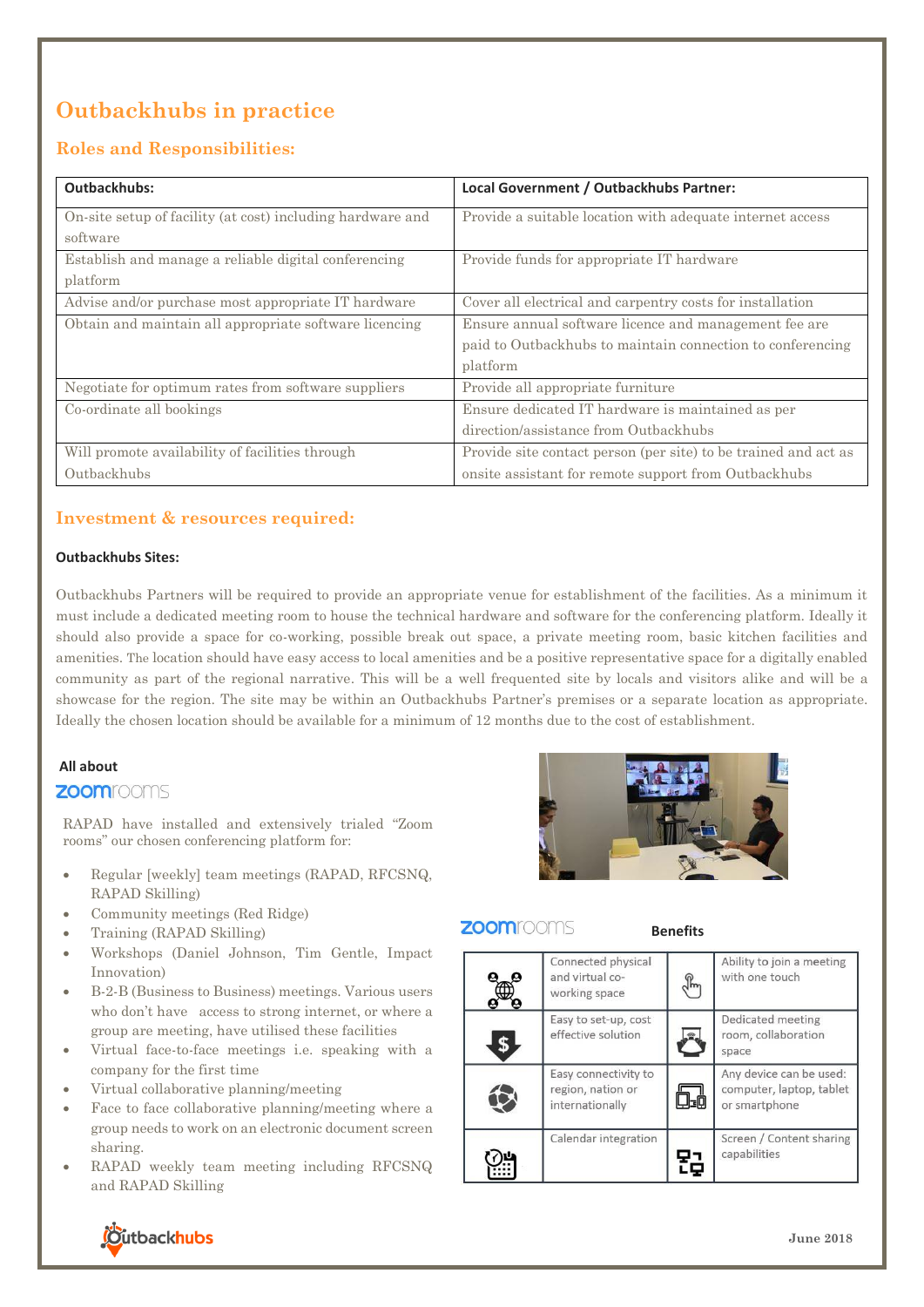## **Outbackhubs in practice**

## **Roles and Responsibilities:**

| <b>Outbackhubs:</b>                                                    | Local Government / Outbackhubs Partner:                         |
|------------------------------------------------------------------------|-----------------------------------------------------------------|
| On-site setup of facility (at cost) including hardware and<br>software | Provide a suitable location with adequate internet access       |
| Establish and manage a reliable digital conferencing<br>platform       | Provide funds for appropriate IT hardware                       |
| Advise and/or purchase most appropriate IT hardware                    | Cover all electrical and carpentry costs for installation       |
| Obtain and maintain all appropriate software licencing                 | Ensure annual software licence and management fee are           |
|                                                                        | paid to Outbackhubs to maintain connection to conferencing      |
|                                                                        | platform                                                        |
| Negotiate for optimum rates from software suppliers                    | Provide all appropriate furniture                               |
| Co-ordinate all bookings                                               | Ensure dedicated IT hardware is maintained as per               |
|                                                                        | direction/assistance from Outbackhubs                           |
| Will promote availability of facilities through                        | Provide site contact person (per site) to be trained and act as |
| Outbackhubs                                                            | onsite assistant for remote support from Outbackhubs            |

## **Investment & resources required:**

#### **Outbackhubs Sites:**

Outbackhubs Partners will be required to provide an appropriate venue for establishment of the facilities. As a minimum it must include a dedicated meeting room to house the technical hardware and software for the conferencing platform. Ideally it should also provide a space for co-working, possible break out space, a private meeting room, basic kitchen facilities and amenities. The location should have easy access to local amenities and be a positive representative space for a digitally enabled community as part of the regional narrative. This will be a well frequented site by locals and visitors alike and will be a showcase for the region. The site may be within an Outbackhubs Partner's premises or a separate location as appropriate. Ideally the chosen location should be available for a minimum of 12 months due to the cost of establishment.

### **All about**

### **ZOOM**rooms

RAPAD have installed and extensively trialed "Zoom rooms" our chosen conferencing platform for:

- Regular [weekly] team meetings (RAPAD, RFCSNQ, RAPAD Skilling)
- Community meetings (Red Ridge)
- Training (RAPAD Skilling)
- Workshops (Daniel Johnson, Tim Gentle, Impact Innovation)
- B-2-B (Business to Business) meetings. Various users who don't have access to strong internet, or where a group are meeting, have utilised these facilities
- Virtual face-to-face meetings i.e. speaking with a company for the first time
- Virtual collaborative planning/meeting
- Face to face collaborative planning/meeting where a group needs to work on an electronic document screen sharing.
- RAPAD weekly team meeting including RFCSNQ and RAPAD Skilling



## **ZOOM**rooms

### **Benefits**

| Connected physical<br>and virtual co-<br>working space       | Ability to join a meeting<br>with one touch                          |
|--------------------------------------------------------------|----------------------------------------------------------------------|
| Easy to set-up, cost<br>effective solution                   | Dedicated meeting<br>room, collaboration<br>space                    |
| Easy connectivity to<br>region, nation or<br>internationally | Any device can be used:<br>computer, laptop, tablet<br>or smartphone |
| Calendar integration                                         | Screen / Content sharing<br>capabilities                             |

# *<u>Cutbackhubs</u>*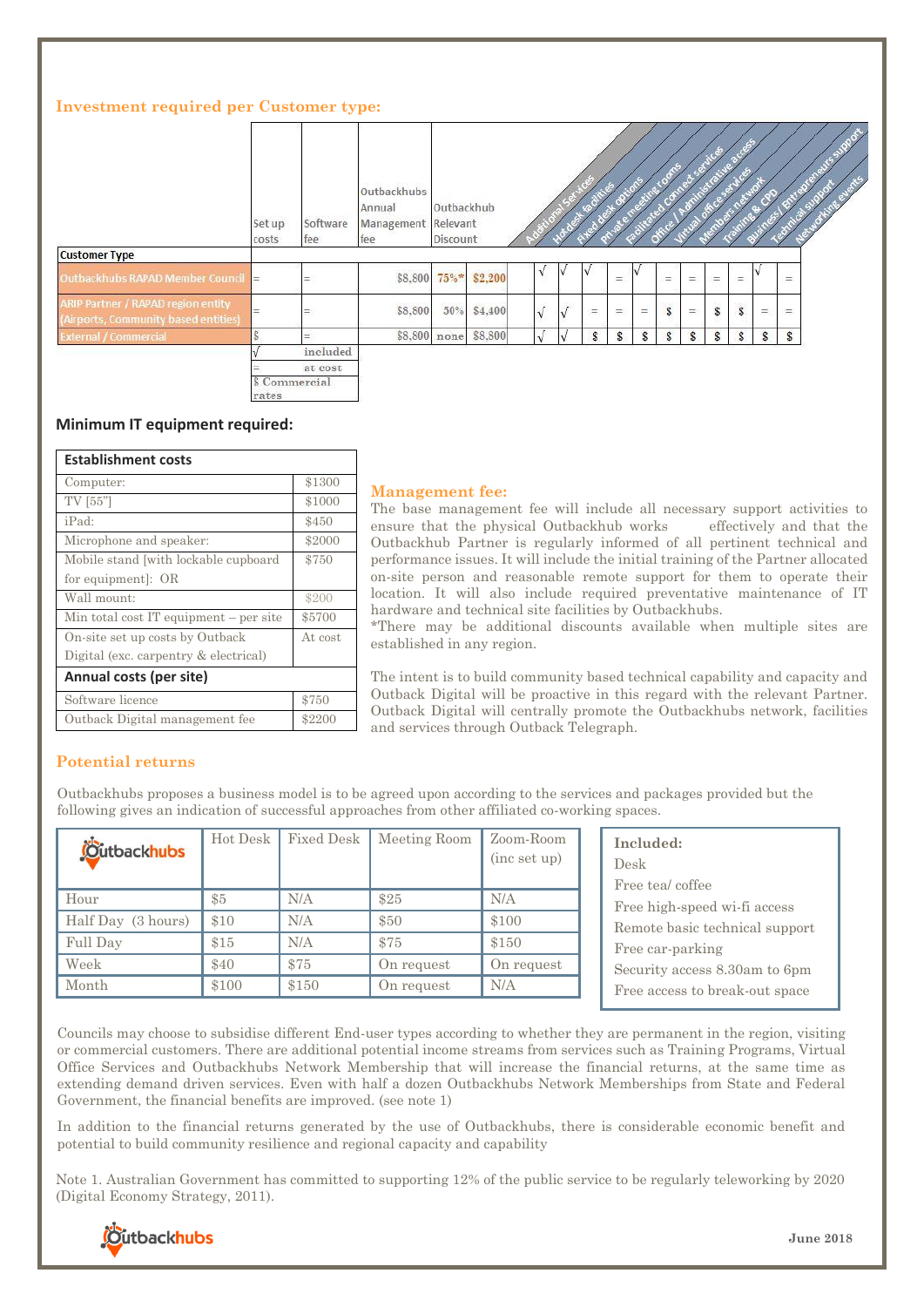### **Investment required per Customer type:**

|                                                                                   | Set up<br>costs        | Software<br>fee | Outbackhubs<br>Annual<br>Management Relevant<br>fee | Outbackhub<br>Discount |         |            |   |              |     |     |     |              |     |              |              |     |  |
|-----------------------------------------------------------------------------------|------------------------|-----------------|-----------------------------------------------------|------------------------|---------|------------|---|--------------|-----|-----|-----|--------------|-----|--------------|--------------|-----|--|
| <b>Customer Type</b>                                                              |                        |                 |                                                     |                        |         |            |   |              |     |     |     |              |     |              |              |     |  |
| Outbackhubs RAPAD Member Council                                                  |                        | $=$             |                                                     | \$8,800 75%*           | \$2,200 | V.         | v | I٧           | $=$ |     | $=$ | $=$          | $=$ | $=$          |              | $=$ |  |
| <b>ARIP Partner / RAPAD region entity</b><br>(Airports, Community based entities) | =                      | ÷               | \$8,800                                             | 50%                    | \$4,400 | $\sqrt{ }$ | V | $=$          | $=$ | $=$ | \$  | ÷            | \$  | Ŝ.           | $=$          | Ξ   |  |
| <b>External / Commercial</b>                                                      | ò                      | $=$             |                                                     | \$8,800 none           | \$8,800 | $\sqrt{ }$ |   | $\mathbf{s}$ | \$  | S   | s   | $\mathbf{s}$ | \$  | $\mathbf{s}$ | $\mathbf{s}$ | \$  |  |
|                                                                                   |                        | included        |                                                     |                        |         |            |   |              |     |     |     |              |     |              |              |     |  |
|                                                                                   | \$ Commercial<br>rates | at cost         |                                                     |                        |         |            |   |              |     |     |     |              |     |              |              |     |  |

#### **Minimum IT equipment required:**

| <b>Establishment costs</b>               |         |  |  |  |  |  |  |
|------------------------------------------|---------|--|--|--|--|--|--|
| Computer:                                | \$1300  |  |  |  |  |  |  |
| TV [55"]                                 | \$1000  |  |  |  |  |  |  |
| iPad:                                    | \$450   |  |  |  |  |  |  |
| Microphone and speaker:                  | \$2000  |  |  |  |  |  |  |
| Mobile stand with lockable cupboard      | \$750   |  |  |  |  |  |  |
| for equipment. OR                        |         |  |  |  |  |  |  |
| Wall mount:                              | \$200   |  |  |  |  |  |  |
| Min total cost IT equipment $-$ per site | \$5700  |  |  |  |  |  |  |
| On-site set up costs by Outback          | At cost |  |  |  |  |  |  |
| Digital (exc. carpentry & electrical)    |         |  |  |  |  |  |  |
| Annual costs (per site)                  |         |  |  |  |  |  |  |
| Software licence                         | \$750   |  |  |  |  |  |  |
| Outback Digital management fee           | \$2200  |  |  |  |  |  |  |

#### **Management fee:**

The base management fee will include all necessary support activities to ensure that the physical Outbackhub works effectively and that the Outbackhub Partner is regularly informed of all pertinent technical and performance issues. It will include the initial training of the Partner allocated on-site person and reasonable remote support for them to operate their location. It will also include required preventative maintenance of IT hardware and technical site facilities by Outbackhubs.

\*There may be additional discounts available when multiple sites are established in any region.

The intent is to build community based technical capability and capacity and Outback Digital will be proactive in this regard with the relevant Partner. Outback Digital will centrally promote the Outbackhubs network, facilities and services through Outback Telegraph.

All prices are inclusive of GST

### **Potential returns**

Outbackhubs proposes a business model is to be agreed upon according to the services and packages provided but the following gives an indication of successful approaches from other affiliated co-working spaces.

| <b>Outbackhubs</b> | Hot Desk | Fixed Desk | Meeting Room | Zoom-Room<br>(inc set up) | Included:<br>Desk<br>Free tea/coffee |
|--------------------|----------|------------|--------------|---------------------------|--------------------------------------|
| Hour               | \$5      | N/A        | \$25         | N/A                       | Free high-speed wi-fi access         |
| Half Day (3 hours) | \$10     | N/A        | \$50         | \$100                     | Remote basic technical support       |
| Full Day           | \$15     | N/A        | \$75         | \$150                     | Free car-parking                     |
| Week               | \$40     | \$75       | On request   | On request                | Security access 8.30am to 6pm        |
| Month              | \$100    | \$150      | On request   | N/A                       | Free access to break-out space       |

Councils may choose to subsidise different End-user types according to whether they are permanent in the region, visiting or commercial customers. There are additional potential income streams from services such as Training Programs, Virtual Office Services and Outbackhubs Network Membership that will increase the financial returns, at the same time as extending demand driven services. Even with half a dozen Outbackhubs Network Memberships from State and Federal Government, the financial benefits are improved. (see note 1)

In addition to the financial returns generated by the use of Outbackhubs, there is considerable economic benefit and potential to build community resilience and regional capacity and capability

Note 1. Australian Government has committed to supporting 12% of the public service to be regularly teleworking by 2020 (Digital Economy Strategy, 2011).